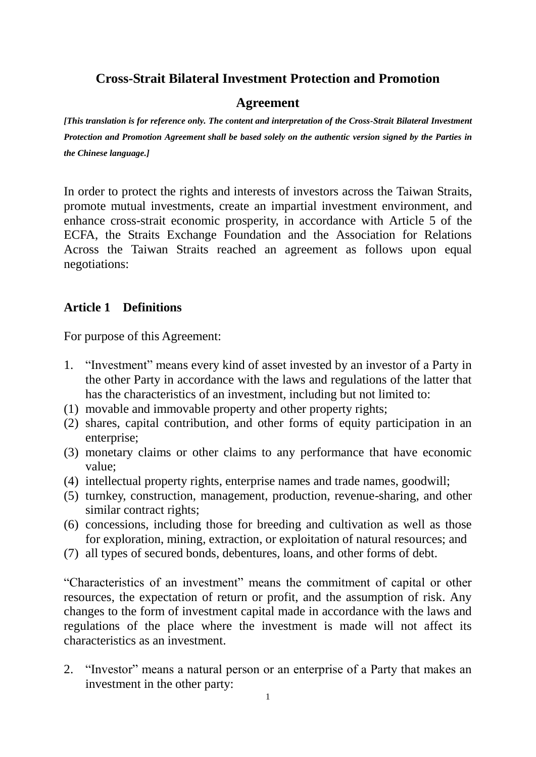# **Cross-Strait Bilateral Investment Protection and Promotion**

#### **Agreement**

*[This translation is for reference only. The content and interpretation of the Cross-Strait Bilateral Investment Protection and Promotion Agreement shall be based solely on the authentic version signed by the Parties in the Chinese language.]*

In order to protect the rights and interests of investors across the Taiwan Straits, promote mutual investments, create an impartial investment environment, and enhance cross-strait economic prosperity, in accordance with Article 5 of the ECFA, the Straits Exchange Foundation and the Association for Relations Across the Taiwan Straits reached an agreement as follows upon equal negotiations:

### **Article 1 Definitions**

For purpose of this Agreement:

- 1. "Investment" means every kind of asset invested by an investor of a Party in the other Party in accordance with the laws and regulations of the latter that has the characteristics of an investment, including but not limited to:
- (1) movable and immovable property and other property rights;
- (2) shares, capital contribution, and other forms of equity participation in an enterprise;
- (3) monetary claims or other claims to any performance that have economic value;
- (4) intellectual property rights, enterprise names and trade names, goodwill;
- (5) turnkey, construction, management, production, revenue-sharing, and other similar contract rights;
- (6) concessions, including those for breeding and cultivation as well as those for exploration, mining, extraction, or exploitation of natural resources; and
- (7) all types of secured bonds, debentures, loans, and other forms of debt.

"Characteristics of an investment" means the commitment of capital or other resources, the expectation of return or profit, and the assumption of risk. Any changes to the form of investment capital made in accordance with the laws and regulations of the place where the investment is made will not affect its characteristics as an investment.

2. "Investor" means a natural person or an enterprise of a Party that makes an investment in the other party: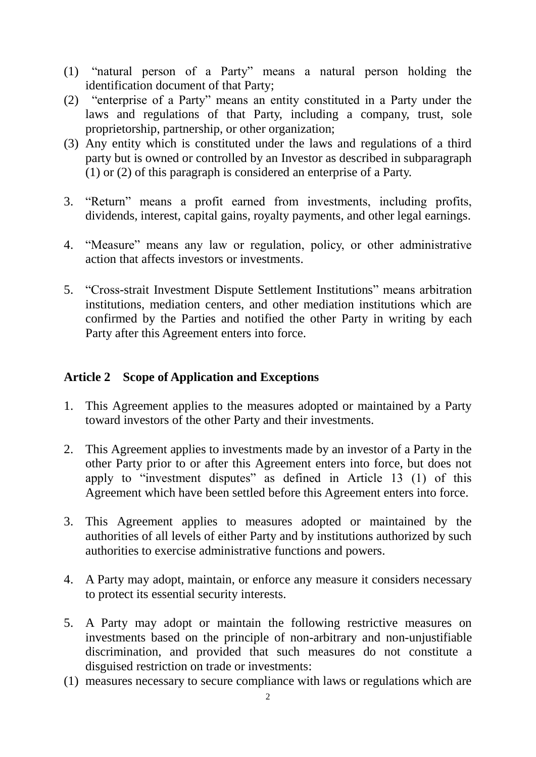- (1) "natural person of a Party" means a natural person holding the identification document of that Party;
- (2) "enterprise of a Party" means an entity constituted in a Party under the laws and regulations of that Party, including a company, trust, sole proprietorship, partnership, or other organization;
- (3) Any entity which is constituted under the laws and regulations of a third party but is owned or controlled by an Investor as described in subparagraph (1) or (2) of this paragraph is considered an enterprise of a Party.
- 3. "Return" means a profit earned from investments, including profits, dividends, interest, capital gains, royalty payments, and other legal earnings.
- 4. "Measure" means any law or regulation, policy, or other administrative action that affects investors or investments.
- 5. "Cross-strait Investment Dispute Settlement Institutions" means arbitration institutions, mediation centers, and other mediation institutions which are confirmed by the Parties and notified the other Party in writing by each Party after this Agreement enters into force.

### **Article 2 Scope of Application and Exceptions**

- 1. This Agreement applies to the measures adopted or maintained by a Party toward investors of the other Party and their investments.
- 2. This Agreement applies to investments made by an investor of a Party in the other Party prior to or after this Agreement enters into force, but does not apply to "investment disputes" as defined in Article 13 (1) of this Agreement which have been settled before this Agreement enters into force.
- 3. This Agreement applies to measures adopted or maintained by the authorities of all levels of either Party and by institutions authorized by such authorities to exercise administrative functions and powers.
- 4. A Party may adopt, maintain, or enforce any measure it considers necessary to protect its essential security interests.
- 5. A Party may adopt or maintain the following restrictive measures on investments based on the principle of non-arbitrary and non-unjustifiable discrimination, and provided that such measures do not constitute a disguised restriction on trade or investments:
- (1) measures necessary to secure compliance with laws or regulations which are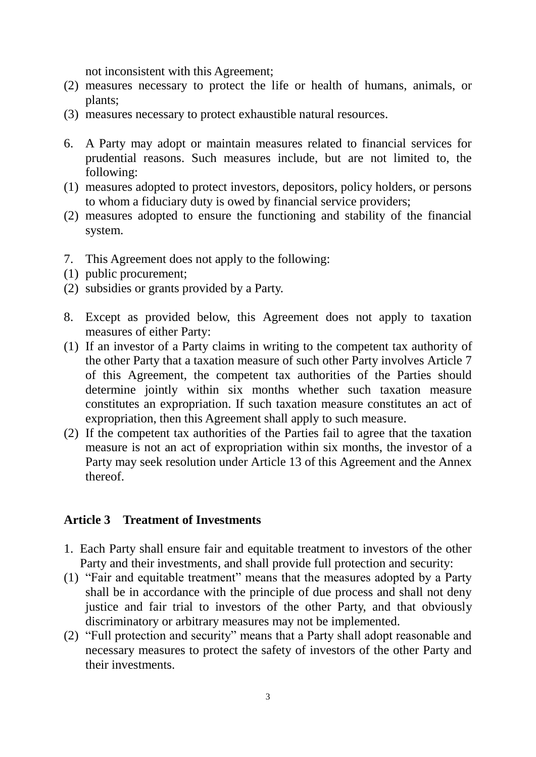not inconsistent with this Agreement;

- (2) measures necessary to protect the life or health of humans, animals, or plants;
- (3) measures necessary to protect exhaustible natural resources.
- 6. A Party may adopt or maintain measures related to financial services for prudential reasons. Such measures include, but are not limited to, the following:
- (1) measures adopted to protect investors, depositors, policy holders, or persons to whom a fiduciary duty is owed by financial service providers;
- (2) measures adopted to ensure the functioning and stability of the financial system.
- 7. This Agreement does not apply to the following:
- (1) public procurement;
- (2) subsidies or grants provided by a Party.
- 8. Except as provided below, this Agreement does not apply to taxation measures of either Party:
- (1) If an investor of a Party claims in writing to the competent tax authority of the other Party that a taxation measure of such other Party involves Article 7 of this Agreement, the competent tax authorities of the Parties should determine jointly within six months whether such taxation measure constitutes an expropriation. If such taxation measure constitutes an act of expropriation, then this Agreement shall apply to such measure.
- (2) If the competent tax authorities of the Parties fail to agree that the taxation measure is not an act of expropriation within six months, the investor of a Party may seek resolution under Article 13 of this Agreement and the Annex thereof.

#### **Article 3 Treatment of Investments**

- 1. Each Party shall ensure fair and equitable treatment to investors of the other Party and their investments, and shall provide full protection and security:
- (1) "Fair and equitable treatment" means that the measures adopted by a Party shall be in accordance with the principle of due process and shall not deny justice and fair trial to investors of the other Party, and that obviously discriminatory or arbitrary measures may not be implemented.
- (2) "Full protection and security" means that a Party shall adopt reasonable and necessary measures to protect the safety of investors of the other Party and their investments.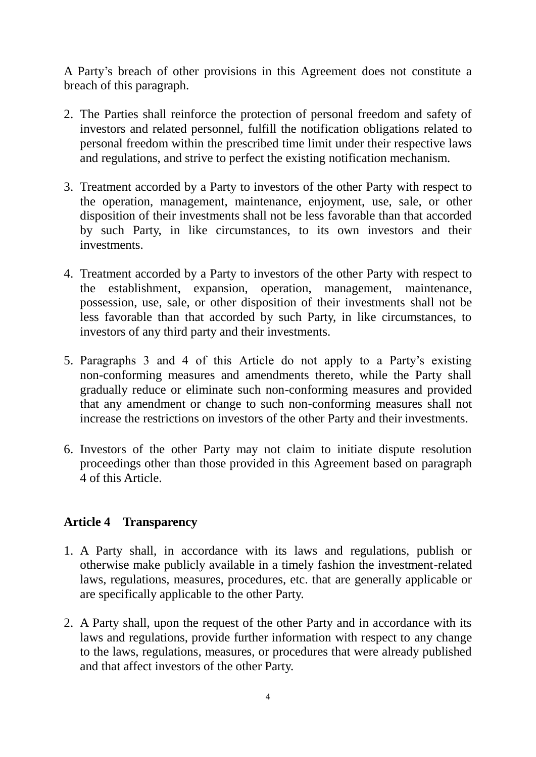A Party's breach of other provisions in this Agreement does not constitute a breach of this paragraph.

- 2. The Parties shall reinforce the protection of personal freedom and safety of investors and related personnel, fulfill the notification obligations related to personal freedom within the prescribed time limit under their respective laws and regulations, and strive to perfect the existing notification mechanism.
- 3. Treatment accorded by a Party to investors of the other Party with respect to the operation, management, maintenance, enjoyment, use, sale, or other disposition of their investments shall not be less favorable than that accorded by such Party, in like circumstances, to its own investors and their investments.
- 4. Treatment accorded by a Party to investors of the other Party with respect to the establishment, expansion, operation, management, maintenance, possession, use, sale, or other disposition of their investments shall not be less favorable than that accorded by such Party, in like circumstances, to investors of any third party and their investments.
- 5. Paragraphs 3 and 4 of this Article do not apply to a Party's existing non-conforming measures and amendments thereto, while the Party shall gradually reduce or eliminate such non-conforming measures and provided that any amendment or change to such non-conforming measures shall not increase the restrictions on investors of the other Party and their investments.
- 6. Investors of the other Party may not claim to initiate dispute resolution proceedings other than those provided in this Agreement based on paragraph 4 of this Article.

### **Article 4 Transparency**

- 1. A Party shall, in accordance with its laws and regulations, publish or otherwise make publicly available in a timely fashion the investment-related laws, regulations, measures, procedures, etc. that are generally applicable or are specifically applicable to the other Party.
- 2. A Party shall, upon the request of the other Party and in accordance with its laws and regulations, provide further information with respect to any change to the laws, regulations, measures, or procedures that were already published and that affect investors of the other Party.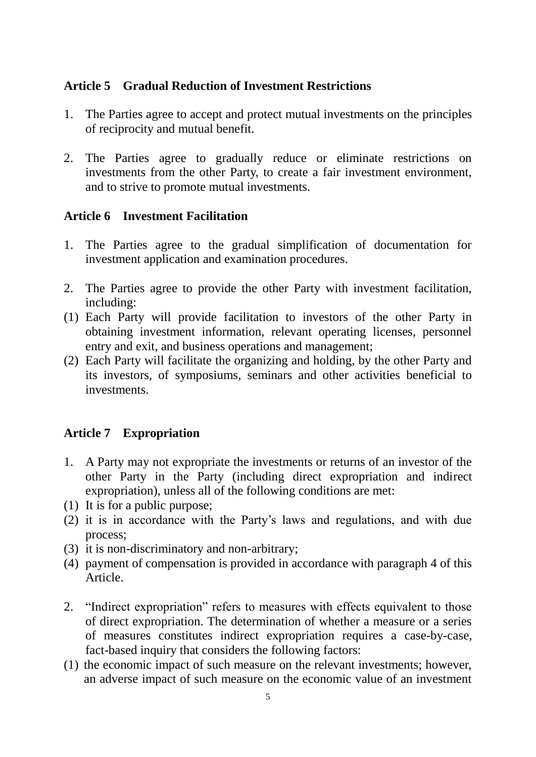### **Article 5 Gradual Reduction of Investment Restrictions**

- 1. The Parties agree to accept and protect mutual investments on the principles of reciprocity and mutual benefit.
- 2. The Parties agree to gradually reduce or eliminate restrictions on investments from the other Party, to create a fair investment environment, and to strive to promote mutual investments.

### **Article 6 Investment Facilitation**

- 1. The Parties agree to the gradual simplification of documentation for investment application and examination procedures.
- 2. The Parties agree to provide the other Party with investment facilitation, including:
- (1) Each Party will provide facilitation to investors of the other Party in obtaining investment information, relevant operating licenses, personnel entry and exit, and business operations and management;
- (2) Each Party will facilitate the organizing and holding, by the other Party and its investors, of symposiums, seminars and other activities beneficial to investments.

# **Article 7 Expropriation**

- 1. A Party may not expropriate the investments or returns of an investor of the other Party in the Party (including direct expropriation and indirect expropriation), unless all of the following conditions are met:
- (1) It is for a public purpose;
- (2) it is in accordance with the Party's laws and regulations, and with due process;
- (3) it is non-discriminatory and non-arbitrary;
- (4) payment of compensation is provided in accordance with paragraph 4 of this Article.
- 2. "Indirect expropriation" refers to measures with effects equivalent to those of direct expropriation. The determination of whether a measure or a series of measures constitutes indirect expropriation requires a case-by-case, fact-based inquiry that considers the following factors:
- (1) the economic impact of such measure on the relevant investments; however, an adverse impact of such measure on the economic value of an investment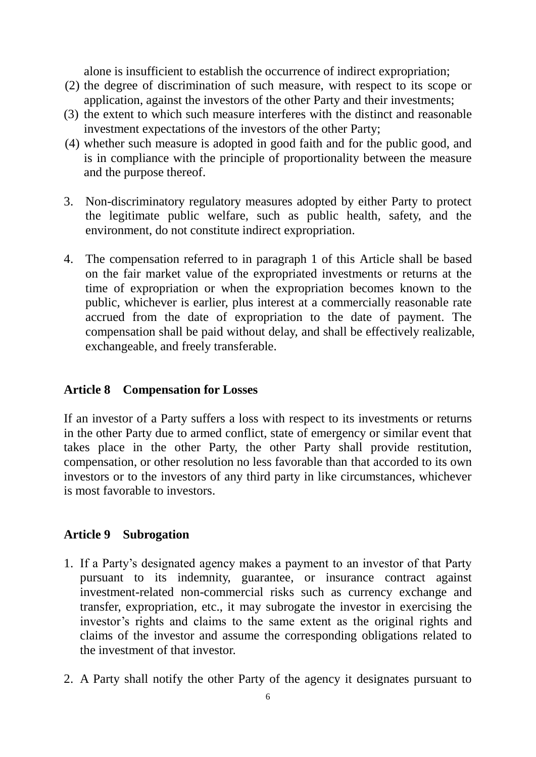alone is insufficient to establish the occurrence of indirect expropriation;

- (2) the degree of discrimination of such measure, with respect to its scope or application, against the investors of the other Party and their investments;
- (3) the extent to which such measure interferes with the distinct and reasonable investment expectations of the investors of the other Party;
- (4) whether such measure is adopted in good faith and for the public good, and is in compliance with the principle of proportionality between the measure and the purpose thereof.
- 3. Non-discriminatory regulatory measures adopted by either Party to protect the legitimate public welfare, such as public health, safety, and the environment, do not constitute indirect expropriation.
- 4. The compensation referred to in paragraph 1 of this Article shall be based on the fair market value of the expropriated investments or returns at the time of expropriation or when the expropriation becomes known to the public, whichever is earlier, plus interest at a commercially reasonable rate accrued from the date of expropriation to the date of payment. The compensation shall be paid without delay, and shall be effectively realizable, exchangeable, and freely transferable.

# **Article 8 Compensation for Losses**

If an investor of a Party suffers a loss with respect to its investments or returns in the other Party due to armed conflict, state of emergency or similar event that takes place in the other Party, the other Party shall provide restitution, compensation, or other resolution no less favorable than that accorded to its own investors or to the investors of any third party in like circumstances, whichever is most favorable to investors.

# **Article 9 Subrogation**

- 1. If a Party's designated agency makes a payment to an investor of that Party pursuant to its indemnity, guarantee, or insurance contract against investment-related non-commercial risks such as currency exchange and transfer, expropriation, etc., it may subrogate the investor in exercising the investor's rights and claims to the same extent as the original rights and claims of the investor and assume the corresponding obligations related to the investment of that investor.
- 2. A Party shall notify the other Party of the agency it designates pursuant to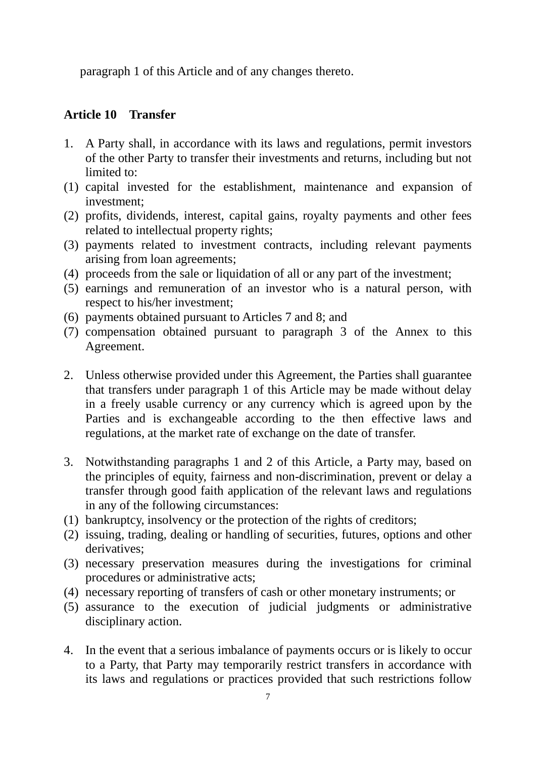paragraph 1 of this Article and of any changes thereto.

### **Article 10 Transfer**

- 1. A Party shall, in accordance with its laws and regulations, permit investors of the other Party to transfer their investments and returns, including but not limited to:
- (1) capital invested for the establishment, maintenance and expansion of investment;
- (2) profits, dividends, interest, capital gains, royalty payments and other fees related to intellectual property rights;
- (3) payments related to investment contracts, including relevant payments arising from loan agreements;
- (4) proceeds from the sale or liquidation of all or any part of the investment;
- (5) earnings and remuneration of an investor who is a natural person, with respect to his/her investment;
- (6) payments obtained pursuant to Articles 7 and 8; and
- (7) compensation obtained pursuant to paragraph 3 of the Annex to this Agreement.
- 2. Unless otherwise provided under this Agreement, the Parties shall guarantee that transfers under paragraph 1 of this Article may be made without delay in a freely usable currency or any currency which is agreed upon by the Parties and is exchangeable according to the then effective laws and regulations, at the market rate of exchange on the date of transfer.
- 3. Notwithstanding paragraphs 1 and 2 of this Article, a Party may, based on the principles of equity, fairness and non-discrimination, prevent or delay a transfer through good faith application of the relevant laws and regulations in any of the following circumstances:
- (1) bankruptcy, insolvency or the protection of the rights of creditors;
- (2) issuing, trading, dealing or handling of securities, futures, options and other derivatives:
- (3) necessary preservation measures during the investigations for criminal procedures or administrative acts;
- (4) necessary reporting of transfers of cash or other monetary instruments; or
- (5) assurance to the execution of judicial judgments or administrative disciplinary action.
- 4. In the event that a serious imbalance of payments occurs or is likely to occur to a Party, that Party may temporarily restrict transfers in accordance with its laws and regulations or practices provided that such restrictions follow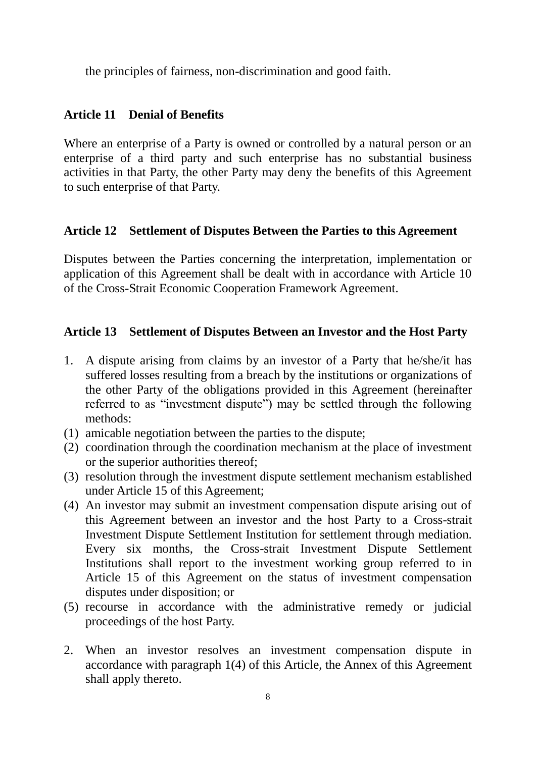the principles of fairness, non-discrimination and good faith.

### **Article 11 Denial of Benefits**

Where an enterprise of a Party is owned or controlled by a natural person or an enterprise of a third party and such enterprise has no substantial business activities in that Party, the other Party may deny the benefits of this Agreement to such enterprise of that Party.

### **Article 12 Settlement of Disputes Between the Parties to this Agreement**

Disputes between the Parties concerning the interpretation, implementation or application of this Agreement shall be dealt with in accordance with Article 10 of the Cross-Strait Economic Cooperation Framework Agreement.

### **Article 13 Settlement of Disputes Between an Investor and the Host Party**

- 1. A dispute arising from claims by an investor of a Party that he/she/it has suffered losses resulting from a breach by the institutions or organizations of the other Party of the obligations provided in this Agreement (hereinafter referred to as "investment dispute") may be settled through the following methods:
- (1) amicable negotiation between the parties to the dispute;
- (2) coordination through the coordination mechanism at the place of investment or the superior authorities thereof;
- (3) resolution through the investment dispute settlement mechanism established under Article 15 of this Agreement;
- (4) An investor may submit an investment compensation dispute arising out of this Agreement between an investor and the host Party to a Cross-strait Investment Dispute Settlement Institution for settlement through mediation. Every six months, the Cross-strait Investment Dispute Settlement Institutions shall report to the investment working group referred to in Article 15 of this Agreement on the status of investment compensation disputes under disposition; or
- (5) recourse in accordance with the administrative remedy or judicial proceedings of the host Party.
- 2. When an investor resolves an investment compensation dispute in accordance with paragraph 1(4) of this Article, the Annex of this Agreement shall apply thereto.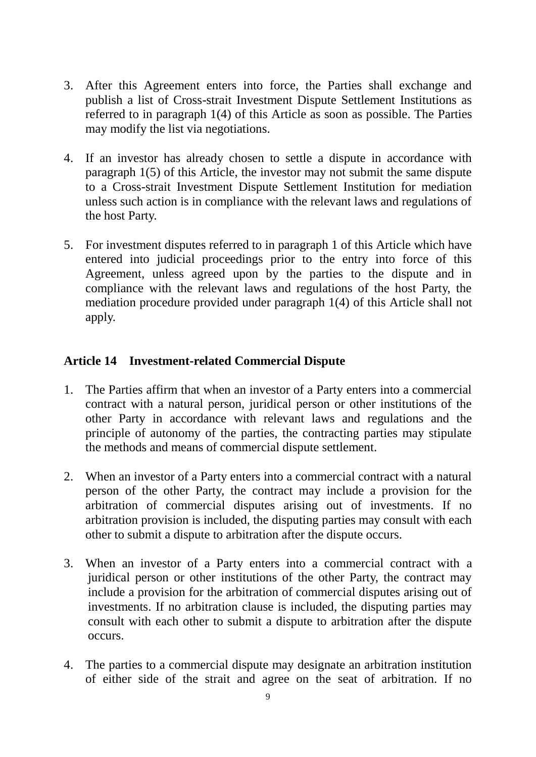- 3. After this Agreement enters into force, the Parties shall exchange and publish a list of Cross-strait Investment Dispute Settlement Institutions as referred to in paragraph 1(4) of this Article as soon as possible. The Parties may modify the list via negotiations.
- 4. If an investor has already chosen to settle a dispute in accordance with paragraph 1(5) of this Article, the investor may not submit the same dispute to a Cross-strait Investment Dispute Settlement Institution for mediation unless such action is in compliance with the relevant laws and regulations of the host Party.
- 5. For investment disputes referred to in paragraph 1 of this Article which have entered into judicial proceedings prior to the entry into force of this Agreement, unless agreed upon by the parties to the dispute and in compliance with the relevant laws and regulations of the host Party, the mediation procedure provided under paragraph 1(4) of this Article shall not apply.

# **Article 14 Investment-related Commercial Dispute**

- 1. The Parties affirm that when an investor of a Party enters into a commercial contract with a natural person, juridical person or other institutions of the other Party in accordance with relevant laws and regulations and the principle of autonomy of the parties, the contracting parties may stipulate the methods and means of commercial dispute settlement.
- 2. When an investor of a Party enters into a commercial contract with a natural person of the other Party, the contract may include a provision for the arbitration of commercial disputes arising out of investments. If no arbitration provision is included, the disputing parties may consult with each other to submit a dispute to arbitration after the dispute occurs.
- 3. When an investor of a Party enters into a commercial contract with a juridical person or other institutions of the other Party, the contract may include a provision for the arbitration of commercial disputes arising out of investments. If no arbitration clause is included, the disputing parties may consult with each other to submit a dispute to arbitration after the dispute occurs.
- 4. The parties to a commercial dispute may designate an arbitration institution of either side of the strait and agree on the seat of arbitration. If no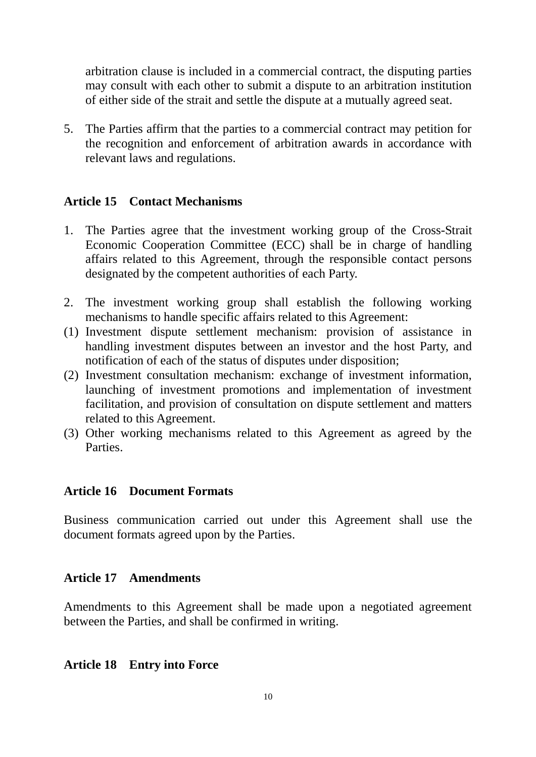arbitration clause is included in a commercial contract, the disputing parties may consult with each other to submit a dispute to an arbitration institution of either side of the strait and settle the dispute at a mutually agreed seat.

5. The Parties affirm that the parties to a commercial contract may petition for the recognition and enforcement of arbitration awards in accordance with relevant laws and regulations.

### **Article 15 Contact Mechanisms**

- 1. The Parties agree that the investment working group of the Cross-Strait Economic Cooperation Committee (ECC) shall be in charge of handling affairs related to this Agreement, through the responsible contact persons designated by the competent authorities of each Party.
- 2. The investment working group shall establish the following working mechanisms to handle specific affairs related to this Agreement:
- (1) Investment dispute settlement mechanism: provision of assistance in handling investment disputes between an investor and the host Party, and notification of each of the status of disputes under disposition;
- (2) Investment consultation mechanism: exchange of investment information, launching of investment promotions and implementation of investment facilitation, and provision of consultation on dispute settlement and matters related to this Agreement.
- (3) Other working mechanisms related to this Agreement as agreed by the Parties.

### **Article 16 Document Formats**

Business communication carried out under this Agreement shall use the document formats agreed upon by the Parties.

### **Article 17 Amendments**

Amendments to this Agreement shall be made upon a negotiated agreement between the Parties, and shall be confirmed in writing.

#### **Article 18 Entry into Force**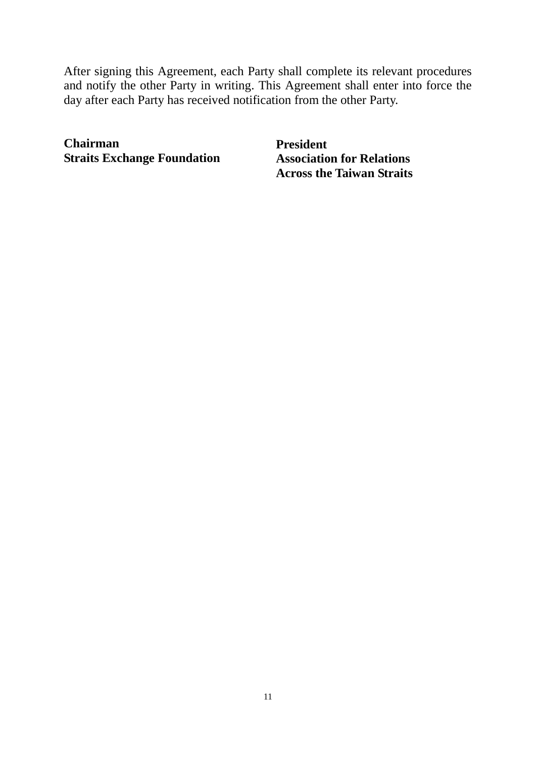After signing this Agreement, each Party shall complete its relevant procedures and notify the other Party in writing. This Agreement shall enter into force the day after each Party has received notification from the other Party.

**Chairman Straits Exchange Foundation**  **President Association for Relations Across the Taiwan Straits**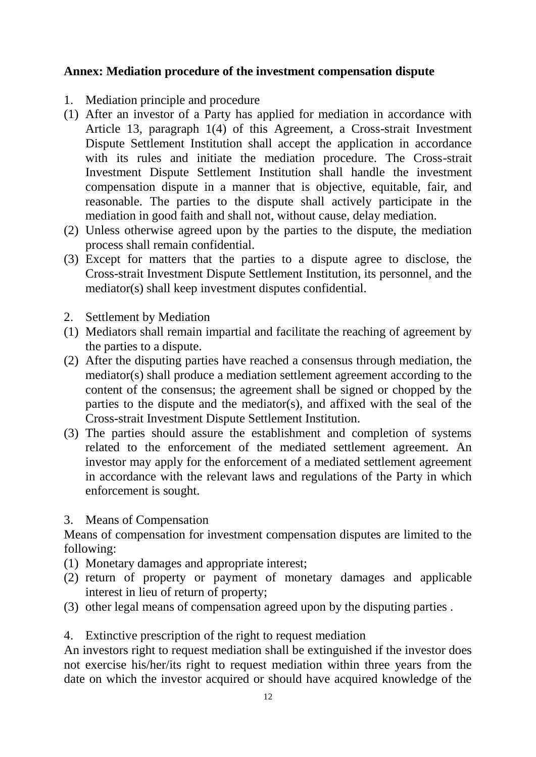### **Annex: Mediation procedure of the investment compensation dispute**

- 1. Mediation principle and procedure
- (1) After an investor of a Party has applied for mediation in accordance with Article 13, paragraph 1(4) of this Agreement, a Cross-strait Investment Dispute Settlement Institution shall accept the application in accordance with its rules and initiate the mediation procedure. The Cross-strait Investment Dispute Settlement Institution shall handle the investment compensation dispute in a manner that is objective, equitable, fair, and reasonable. The parties to the dispute shall actively participate in the mediation in good faith and shall not, without cause, delay mediation.
- (2) Unless otherwise agreed upon by the parties to the dispute, the mediation process shall remain confidential.
- (3) Except for matters that the parties to a dispute agree to disclose, the Cross-strait Investment Dispute Settlement Institution, its personnel, and the mediator(s) shall keep investment disputes confidential.
- 2. Settlement by Mediation
- (1) Mediators shall remain impartial and facilitate the reaching of agreement by the parties to a dispute.
- (2) After the disputing parties have reached a consensus through mediation, the mediator(s) shall produce a mediation settlement agreement according to the content of the consensus; the agreement shall be signed or chopped by the parties to the dispute and the mediator(s), and affixed with the seal of the Cross-strait Investment Dispute Settlement Institution.
- (3) The parties should assure the establishment and completion of systems related to the enforcement of the mediated settlement agreement. An investor may apply for the enforcement of a mediated settlement agreement in accordance with the relevant laws and regulations of the Party in which enforcement is sought.

### 3. Means of Compensation

Means of compensation for investment compensation disputes are limited to the following:

- (1) Monetary damages and appropriate interest;
- (2) return of property or payment of monetary damages and applicable interest in lieu of return of property;
- (3) other legal means of compensation agreed upon by the disputing parties .

4. Extinctive prescription of the right to request mediation

An investors right to request mediation shall be extinguished if the investor does not exercise his/her/its right to request mediation within three years from the date on which the investor acquired or should have acquired knowledge of the